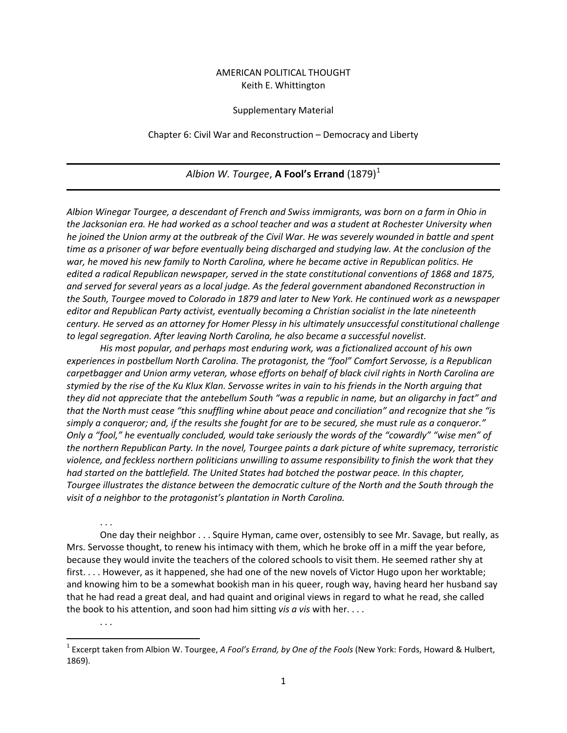## AMERICAN POLITICAL THOUGHT Keith E. Whittington

## Supplementary Material

Chapter 6: Civil War and Reconstruction – Democracy and Liberty

## *Albion W. Tourgee*, **A Fool's Errand** (1879) [1](#page-0-0)

*Albion Winegar Tourgee, a descendant of French and Swiss immigrants, was born on a farm in Ohio in the Jacksonian era. He had worked as a school teacher and was a student at Rochester University when he joined the Union army at the outbreak of the Civil War. He was severely wounded in battle and spent time as a prisoner of war before eventually being discharged and studying law. At the conclusion of the war, he moved his new family to North Carolina, where he became active in Republican politics. He edited a radical Republican newspaper, served in the state constitutional conventions of 1868 and 1875, and served for several years as a local judge. As the federal government abandoned Reconstruction in the South, Tourgee moved to Colorado in 1879 and later to New York. He continued work as a newspaper editor and Republican Party activist, eventually becoming a Christian socialist in the late nineteenth century. He served as an attorney for Homer Plessy in his ultimately unsuccessful constitutional challenge to legal segregation. After leaving North Carolina, he also became a successful novelist.*

*His most popular, and perhaps most enduring work, was a fictionalized account of his own experiences in postbellum North Carolina. The protagonist, the "fool" Comfort Servosse, is a Republican carpetbagger and Union army veteran, whose efforts on behalf of black civil rights in North Carolina are stymied by the rise of the Ku Klux Klan. Servosse writes in vain to his friends in the North arguing that they did not appreciate that the antebellum South "was a republic in name, but an oligarchy in fact" and that the North must cease "this snuffling whine about peace and conciliation" and recognize that she "is simply a conqueror; and, if the results she fought for are to be secured, she must rule as a conqueror." Only a "fool," he eventually concluded, would take seriously the words of the "cowardly" "wise men" of the northern Republican Party. In the novel, Tourgee paints a dark picture of white supremacy, terroristic violence, and feckless northern politicians unwilling to assume responsibility to finish the work that they had started on the battlefield. The United States had botched the postwar peace. In this chapter, Tourgee illustrates the distance between the democratic culture of the North and the South through the visit of a neighbor to the protagonist's plantation in North Carolina.*

. . . One day their neighbor . . . Squire Hyman, came over, ostensibly to see Mr. Savage, but really, as Mrs. Servosse thought, to renew his intimacy with them, which he broke off in a miff the year before, because they would invite the teachers of the colored schools to visit them. He seemed rather shy at first. . . . However, as it happened, she had one of the new novels of Victor Hugo upon her worktable; and knowing him to be a somewhat bookish man in his queer, rough way, having heard her husband say that he had read a great deal, and had quaint and original views in regard to what he read, she called the book to his attention, and soon had him sitting *vis a vis* with her. . . .

. . .

<span id="page-0-0"></span> <sup>1</sup> Excerpt taken from Albion W. Tourgee, *A Fool's Errand, by One of the Fools* (New York: Fords, Howard & Hulbert, 1869).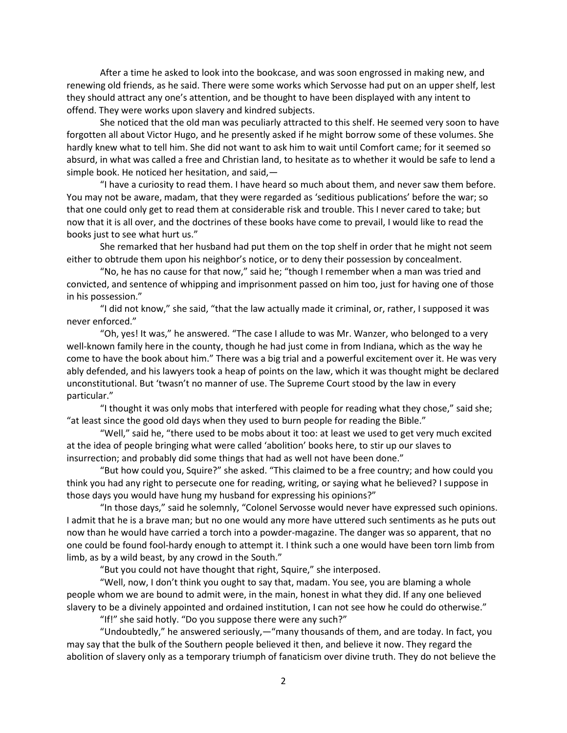After a time he asked to look into the bookcase, and was soon engrossed in making new, and renewing old friends, as he said. There were some works which Servosse had put on an upper shelf, lest they should attract any one's attention, and be thought to have been displayed with any intent to offend. They were works upon slavery and kindred subjects.

She noticed that the old man was peculiarly attracted to this shelf. He seemed very soon to have forgotten all about Victor Hugo, and he presently asked if he might borrow some of these volumes. She hardly knew what to tell him. She did not want to ask him to wait until Comfort came; for it seemed so absurd, in what was called a free and Christian land, to hesitate as to whether it would be safe to lend a simple book. He noticed her hesitation, and said,—

"I have a curiosity to read them. I have heard so much about them, and never saw them before. You may not be aware, madam, that they were regarded as 'seditious publications' before the war; so that one could only get to read them at considerable risk and trouble. This I never cared to take; but now that it is all over, and the doctrines of these books have come to prevail, I would like to read the books just to see what hurt us."

She remarked that her husband had put them on the top shelf in order that he might not seem either to obtrude them upon his neighbor's notice, or to deny their possession by concealment.

"No, he has no cause for that now," said he; "though I remember when a man was tried and convicted, and sentence of whipping and imprisonment passed on him too, just for having one of those in his possession."

"I did not know," she said, "that the law actually made it criminal, or, rather, I supposed it was never enforced."

"Oh, yes! It was," he answered. "The case I allude to was Mr. Wanzer, who belonged to a very well-known family here in the county, though he had just come in from Indiana, which as the way he come to have the book about him." There was a big trial and a powerful excitement over it. He was very ably defended, and his lawyers took a heap of points on the law, which it was thought might be declared unconstitutional. But 'twasn't no manner of use. The Supreme Court stood by the law in every particular."

"I thought it was only mobs that interfered with people for reading what they chose," said she; "at least since the good old days when they used to burn people for reading the Bible."

"Well," said he, "there used to be mobs about it too: at least we used to get very much excited at the idea of people bringing what were called 'abolition' books here, to stir up our slaves to insurrection; and probably did some things that had as well not have been done."

"But how could you, Squire?" she asked. "This claimed to be a free country; and how could you think you had any right to persecute one for reading, writing, or saying what he believed? I suppose in those days you would have hung my husband for expressing his opinions?"

"In those days," said he solemnly, "Colonel Servosse would never have expressed such opinions. I admit that he is a brave man; but no one would any more have uttered such sentiments as he puts out now than he would have carried a torch into a powder-magazine. The danger was so apparent, that no one could be found fool-hardy enough to attempt it. I think such a one would have been torn limb from limb, as by a wild beast, by any crowd in the South."

"But you could not have thought that right, Squire," she interposed.

"Well, now, I don't think you ought to say that, madam. You see, you are blaming a whole people whom we are bound to admit were, in the main, honest in what they did. If any one believed slavery to be a divinely appointed and ordained institution, I can not see how he could do otherwise."

"If!" she said hotly. "Do you suppose there were any such?"

"Undoubtedly," he answered seriously,—"many thousands of them, and are today. In fact, you may say that the bulk of the Southern people believed it then, and believe it now. They regard the abolition of slavery only as a temporary triumph of fanaticism over divine truth. They do not believe the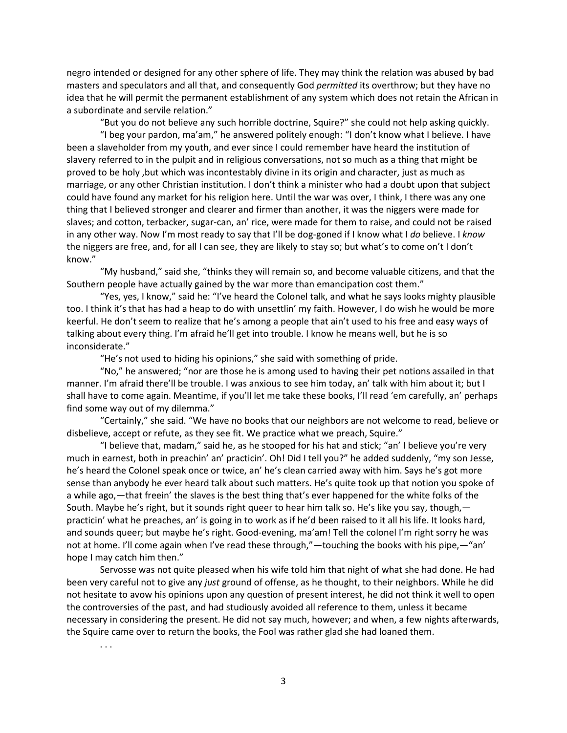negro intended or designed for any other sphere of life. They may think the relation was abused by bad masters and speculators and all that, and consequently God *permitted* its overthrow; but they have no idea that he will permit the permanent establishment of any system which does not retain the African in a subordinate and servile relation."

"But you do not believe any such horrible doctrine, Squire?" she could not help asking quickly. "I beg your pardon, ma'am," he answered politely enough: "I don't know what I believe. I have been a slaveholder from my youth, and ever since I could remember have heard the institution of slavery referred to in the pulpit and in religious conversations, not so much as a thing that might be proved to be holy ,but which was incontestably divine in its origin and character, just as much as marriage, or any other Christian institution. I don't think a minister who had a doubt upon that subject could have found any market for his religion here. Until the war was over, I think, I there was any one thing that I believed stronger and clearer and firmer than another, it was the niggers were made for slaves; and cotton, terbacker, sugar-can, an' rice, were made for them to raise, and could not be raised in any other way. Now I'm most ready to say that I'll be dog-goned if I know what I *do* believe. I *know* the niggers are free, and, for all I can see, they are likely to stay so; but what's to come on't I don't know."

"My husband," said she, "thinks they will remain so, and become valuable citizens, and that the Southern people have actually gained by the war more than emancipation cost them."

"Yes, yes, I know," said he: "I've heard the Colonel talk, and what he says looks mighty plausible too. I think it's that has had a heap to do with unsettlin' my faith. However, I do wish he would be more keerful. He don't seem to realize that he's among a people that ain't used to his free and easy ways of talking about every thing. I'm afraid he'll get into trouble. I know he means well, but he is so inconsiderate."

"He's not used to hiding his opinions," she said with something of pride.

"No," he answered; "nor are those he is among used to having their pet notions assailed in that manner. I'm afraid there'll be trouble. I was anxious to see him today, an' talk with him about it; but I shall have to come again. Meantime, if you'll let me take these books, I'll read 'em carefully, an' perhaps find some way out of my dilemma."

"Certainly," she said. "We have no books that our neighbors are not welcome to read, believe or disbelieve, accept or refute, as they see fit. We practice what we preach, Squire."

"I believe that, madam," said he, as he stooped for his hat and stick; "an' I believe you're very much in earnest, both in preachin' an' practicin'. Oh! Did I tell you?" he added suddenly, "my son Jesse, he's heard the Colonel speak once or twice, an' he's clean carried away with him. Says he's got more sense than anybody he ever heard talk about such matters. He's quite took up that notion you spoke of a while ago,—that freein' the slaves is the best thing that's ever happened for the white folks of the South. Maybe he's right, but it sounds right queer to hear him talk so. He's like you say, though, practicin' what he preaches, an' is going in to work as if he'd been raised to it all his life. It looks hard, and sounds queer; but maybe he's right. Good-evening, ma'am! Tell the colonel I'm right sorry he was not at home. I'll come again when I've read these through,"—touching the books with his pipe,—"an' hope I may catch him then."

Servosse was not quite pleased when his wife told him that night of what she had done. He had been very careful not to give any *just* ground of offense, as he thought, to their neighbors. While he did not hesitate to avow his opinions upon any question of present interest, he did not think it well to open the controversies of the past, and had studiously avoided all reference to them, unless it became necessary in considering the present. He did not say much, however; and when, a few nights afterwards, the Squire came over to return the books, the Fool was rather glad she had loaned them.

. . .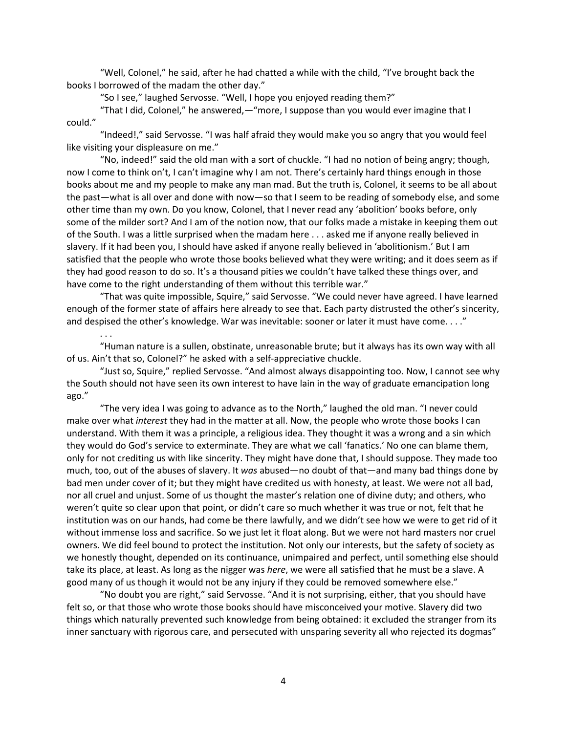"Well, Colonel," he said, after he had chatted a while with the child, "I've brought back the books I borrowed of the madam the other day."

"So I see," laughed Servosse. "Well, I hope you enjoyed reading them?"

"That I did, Colonel," he answered,—"more, I suppose than you would ever imagine that I could."

"Indeed!," said Servosse. "I was half afraid they would make you so angry that you would feel like visiting your displeasure on me."

"No, indeed!" said the old man with a sort of chuckle. "I had no notion of being angry; though, now I come to think on't, I can't imagine why I am not. There's certainly hard things enough in those books about me and my people to make any man mad. But the truth is, Colonel, it seems to be all about the past—what is all over and done with now—so that I seem to be reading of somebody else, and some other time than my own. Do you know, Colonel, that I never read any 'abolition' books before, only some of the milder sort? And I am of the notion now, that our folks made a mistake in keeping them out of the South. I was a little surprised when the madam here . . . asked me if anyone really believed in slavery. If it had been you, I should have asked if anyone really believed in 'abolitionism.' But I am satisfied that the people who wrote those books believed what they were writing; and it does seem as if they had good reason to do so. It's a thousand pities we couldn't have talked these things over, and have come to the right understanding of them without this terrible war."

"That was quite impossible, Squire," said Servosse. "We could never have agreed. I have learned enough of the former state of affairs here already to see that. Each party distrusted the other's sincerity, and despised the other's knowledge. War was inevitable: sooner or later it must have come. . . ."

"Human nature is a sullen, obstinate, unreasonable brute; but it always has its own way with all of us. Ain't that so, Colonel?" he asked with a self-appreciative chuckle.

. . .

"Just so, Squire," replied Servosse. "And almost always disappointing too. Now, I cannot see why the South should not have seen its own interest to have lain in the way of graduate emancipation long ago."

"The very idea I was going to advance as to the North," laughed the old man. "I never could make over what *interest* they had in the matter at all. Now, the people who wrote those books I can understand. With them it was a principle, a religious idea. They thought it was a wrong and a sin which they would do God's service to exterminate. They are what we call 'fanatics.' No one can blame them, only for not crediting us with like sincerity. They might have done that, I should suppose. They made too much, too, out of the abuses of slavery. It *was* abused—no doubt of that—and many bad things done by bad men under cover of it; but they might have credited us with honesty, at least. We were not all bad, nor all cruel and unjust. Some of us thought the master's relation one of divine duty; and others, who weren't quite so clear upon that point, or didn't care so much whether it was true or not, felt that he institution was on our hands, had come be there lawfully, and we didn't see how we were to get rid of it without immense loss and sacrifice. So we just let it float along. But we were not hard masters nor cruel owners. We did feel bound to protect the institution. Not only our interests, but the safety of society as we honestly thought, depended on its continuance, unimpaired and perfect, until something else should take its place, at least. As long as the nigger was *here*, we were all satisfied that he must be a slave. A good many of us though it would not be any injury if they could be removed somewhere else."

"No doubt you are right," said Servosse. "And it is not surprising, either, that you should have felt so, or that those who wrote those books should have misconceived your motive. Slavery did two things which naturally prevented such knowledge from being obtained: it excluded the stranger from its inner sanctuary with rigorous care, and persecuted with unsparing severity all who rejected its dogmas"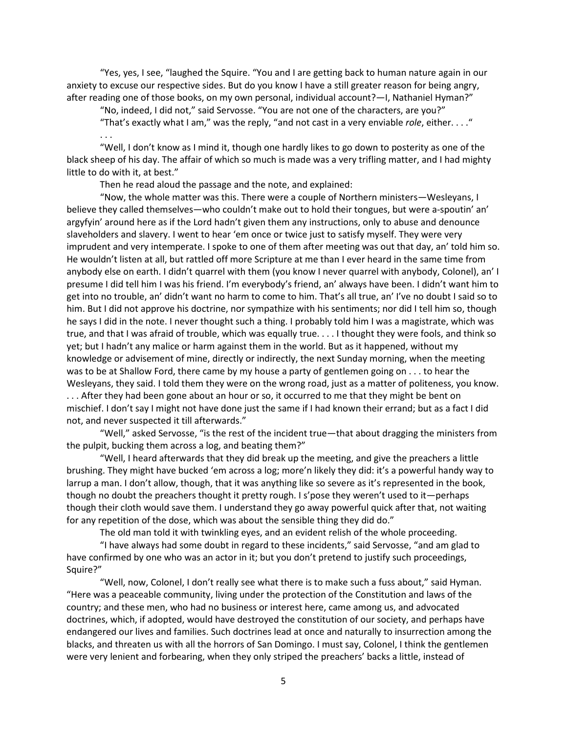"Yes, yes, I see, "laughed the Squire. "You and I are getting back to human nature again in our anxiety to excuse our respective sides. But do you know I have a still greater reason for being angry, after reading one of those books, on my own personal, individual account?—I, Nathaniel Hyman?"

"No, indeed, I did not," said Servosse. "You are not one of the characters, are you?"

"That's exactly what I am," was the reply, "and not cast in a very enviable *role*, either. . . ." . . .

"Well, I don't know as I mind it, though one hardly likes to go down to posterity as one of the black sheep of his day. The affair of which so much is made was a very trifling matter, and I had mighty little to do with it, at best."

Then he read aloud the passage and the note, and explained:

"Now, the whole matter was this. There were a couple of Northern ministers—Wesleyans, I believe they called themselves—who couldn't make out to hold their tongues, but were a-spoutin' an' argyfyin' around here as if the Lord hadn't given them any instructions, only to abuse and denounce slaveholders and slavery. I went to hear 'em once or twice just to satisfy myself. They were very imprudent and very intemperate. I spoke to one of them after meeting was out that day, an' told him so. He wouldn't listen at all, but rattled off more Scripture at me than I ever heard in the same time from anybody else on earth. I didn't quarrel with them (you know I never quarrel with anybody, Colonel), an' I presume I did tell him I was his friend. I'm everybody's friend, an' always have been. I didn't want him to get into no trouble, an' didn't want no harm to come to him. That's all true, an' I've no doubt I said so to him. But I did not approve his doctrine, nor sympathize with his sentiments; nor did I tell him so, though he says I did in the note. I never thought such a thing. I probably told him I was a magistrate, which was true, and that I was afraid of trouble, which was equally true. . . . I thought they were fools, and think so yet; but I hadn't any malice or harm against them in the world. But as it happened, without my knowledge or advisement of mine, directly or indirectly, the next Sunday morning, when the meeting was to be at Shallow Ford, there came by my house a party of gentlemen going on . . . to hear the Wesleyans, they said. I told them they were on the wrong road, just as a matter of politeness, you know. . . . After they had been gone about an hour or so, it occurred to me that they might be bent on mischief. I don't say I might not have done just the same if I had known their errand; but as a fact I did not, and never suspected it till afterwards."

"Well," asked Servosse, "is the rest of the incident true—that about dragging the ministers from the pulpit, bucking them across a log, and beating them?"

"Well, I heard afterwards that they did break up the meeting, and give the preachers a little brushing. They might have bucked 'em across a log; more'n likely they did: it's a powerful handy way to larrup a man. I don't allow, though, that it was anything like so severe as it's represented in the book, though no doubt the preachers thought it pretty rough. I s'pose they weren't used to it—perhaps though their cloth would save them. I understand they go away powerful quick after that, not waiting for any repetition of the dose, which was about the sensible thing they did do."

The old man told it with twinkling eyes, and an evident relish of the whole proceeding.

"I have always had some doubt in regard to these incidents," said Servosse, "and am glad to have confirmed by one who was an actor in it; but you don't pretend to justify such proceedings, Squire?"

"Well, now, Colonel, I don't really see what there is to make such a fuss about," said Hyman. "Here was a peaceable community, living under the protection of the Constitution and laws of the country; and these men, who had no business or interest here, came among us, and advocated doctrines, which, if adopted, would have destroyed the constitution of our society, and perhaps have endangered our lives and families. Such doctrines lead at once and naturally to insurrection among the blacks, and threaten us with all the horrors of San Domingo. I must say, Colonel, I think the gentlemen were very lenient and forbearing, when they only striped the preachers' backs a little, instead of